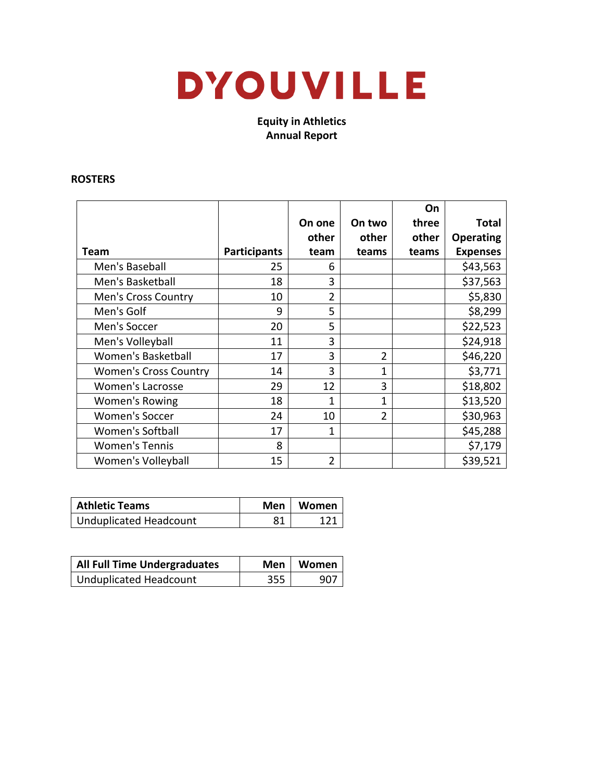# **DYOUVILLE**

**Equity in Athletics Annual Report**

#### **ROSTERS**

|                              |                     |                |                | On    |                  |
|------------------------------|---------------------|----------------|----------------|-------|------------------|
|                              |                     | On one         | On two         | three | <b>Total</b>     |
|                              |                     | other          | other          | other | <b>Operating</b> |
| Team                         | <b>Participants</b> | team           | teams          | teams | <b>Expenses</b>  |
| Men's Baseball               | 25                  | 6              |                |       | \$43,563         |
| Men's Basketball             | 18                  | 3              |                |       | \$37,563         |
| Men's Cross Country          | 10                  | $\overline{2}$ |                |       | \$5,830          |
| Men's Golf                   | 9                   | 5              |                |       | \$8,299          |
| Men's Soccer                 | 20                  | 5              |                |       | \$22,523         |
| Men's Volleyball             | 11                  | 3              |                |       | \$24,918         |
| Women's Basketball           | 17                  | 3              | $\overline{2}$ |       | \$46,220         |
| <b>Women's Cross Country</b> | 14                  | 3              | 1              |       | \$3,771          |
| <b>Women's Lacrosse</b>      | 29                  | 12             | 3              |       | \$18,802         |
| Women's Rowing               | 18                  | 1              | 1              |       | \$13,520         |
| <b>Women's Soccer</b>        | 24                  | 10             | $\overline{2}$ |       | \$30,963         |
| Women's Softball             | 17                  | 1              |                |       | \$45,288         |
| <b>Women's Tennis</b>        | 8                   |                |                |       | \$7,179          |
| Women's Volleyball           | 15                  | 2              |                |       | \$39,521         |

| <b>Athletic Teams</b>  |     | Men   Women |
|------------------------|-----|-------------|
| Unduplicated Headcount | о 1 |             |

| <b>All Full Time Undergraduates</b> |     | Men   Women |
|-------------------------------------|-----|-------------|
| Unduplicated Headcount              | 355 | 907         |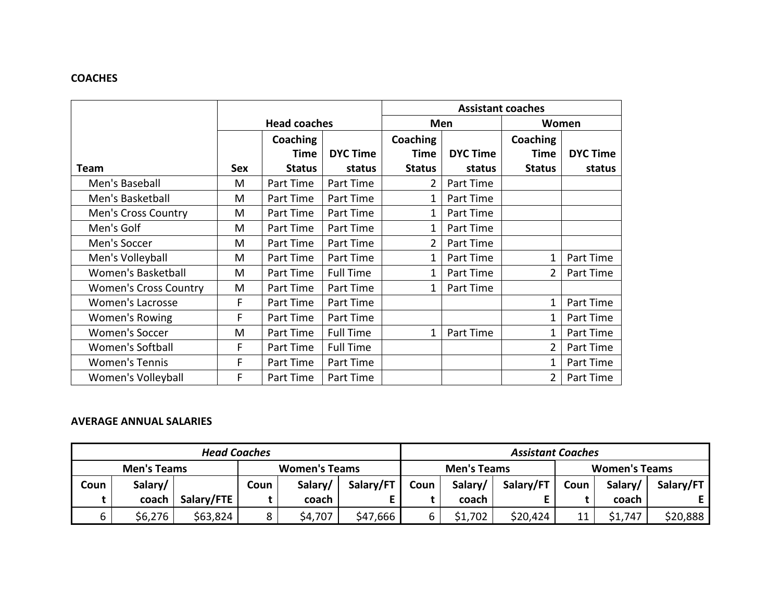# **COACHES**

|                              |            |                     |                  | <b>Assistant coaches</b> |                 |                |                 |  |
|------------------------------|------------|---------------------|------------------|--------------------------|-----------------|----------------|-----------------|--|
|                              |            | <b>Head coaches</b> |                  | Men                      |                 | Women          |                 |  |
|                              |            | Coaching            |                  | <b>Coaching</b>          |                 | Coaching       |                 |  |
|                              |            | <b>Time</b>         | <b>DYC Time</b>  | Time                     | <b>DYC Time</b> | <b>Time</b>    | <b>DYC Time</b> |  |
| <b>Team</b>                  | <b>Sex</b> | <b>Status</b>       | status           | <b>Status</b>            | status          | <b>Status</b>  | status          |  |
| Men's Baseball               | M          | Part Time           | Part Time        | 2                        | Part Time       |                |                 |  |
| Men's Basketball             | M          | Part Time           | Part Time        | 1                        | Part Time       |                |                 |  |
| <b>Men's Cross Country</b>   | M          | Part Time           | Part Time        | 1                        | Part Time       |                |                 |  |
| Men's Golf                   | M          | Part Time           | Part Time        | 1                        | Part Time       |                |                 |  |
| Men's Soccer                 | M          | Part Time           | Part Time        | 2                        | Part Time       |                |                 |  |
| Men's Volleyball             | M          | Part Time           | Part Time        | 1                        | Part Time       | 1              | Part Time       |  |
| <b>Women's Basketball</b>    | M          | Part Time           | <b>Full Time</b> | 1                        | Part Time       | $\overline{2}$ | Part Time       |  |
| <b>Women's Cross Country</b> | M          | Part Time           | Part Time        | 1                        | Part Time       |                |                 |  |
| <b>Women's Lacrosse</b>      | F          | Part Time           | Part Time        |                          |                 | $\mathbf{1}$   | Part Time       |  |
| Women's Rowing               | F          | Part Time           | Part Time        |                          |                 |                | Part Time       |  |
| <b>Women's Soccer</b>        | M          | Part Time           | <b>Full Time</b> | 1                        | Part Time       |                | Part Time       |  |
| Women's Softball             | F          | Part Time           | <b>Full Time</b> |                          |                 | $\mathcal{P}$  | Part Time       |  |
| <b>Women's Tennis</b>        | F          | Part Time           | Part Time        |                          |                 | 1              | Part Time       |  |
| Women's Volleyball           | F          | Part Time           | Part Time        |                          |                 | 2              | Part Time       |  |

### **AVERAGE ANNUAL SALARIES**

| <b>Head Coaches</b> |         |                      |      |         |                                            | <b>Assistant Coaches</b> |         |           |      |         |           |
|---------------------|---------|----------------------|------|---------|--------------------------------------------|--------------------------|---------|-----------|------|---------|-----------|
| <b>Men's Teams</b>  |         | <b>Women's Teams</b> |      |         | <b>Women's Teams</b><br><b>Men's Teams</b> |                          |         |           |      |         |           |
| Coun                | Salary/ |                      | Coun | Salary/ | Salary/FT                                  | Coun                     | Salary/ | Salary/FT | Coun | Salary/ | Salary/FT |
|                     | coach   | Salary/FTE           |      | coach   |                                            |                          | coach   |           |      | coach   |           |
| 6                   | \$6,276 | \$63,824             |      | \$4,707 | \$47,666                                   | 6                        | \$1,702 | \$20,424  | 11   | \$1,747 | \$20,888  |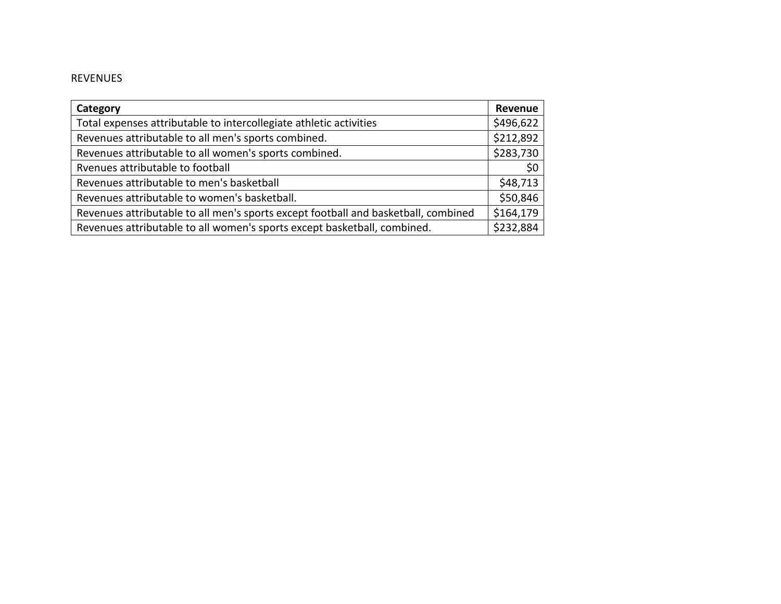# REVENUES

| Category                                                                           | Revenue   |
|------------------------------------------------------------------------------------|-----------|
| Total expenses attributable to intercollegiate athletic activities                 | \$496,622 |
| Revenues attributable to all men's sports combined.                                | \$212,892 |
| Revenues attributable to all women's sports combined.                              | \$283,730 |
| Ryenues attributable to football                                                   | \$0       |
| Revenues attributable to men's basketball                                          | \$48,713  |
| Revenues attributable to women's basketball.                                       | \$50,846  |
| Revenues attributable to all men's sports except football and basketball, combined | \$164,179 |
| Revenues attributable to all women's sports except basketball, combined.           | \$232,884 |